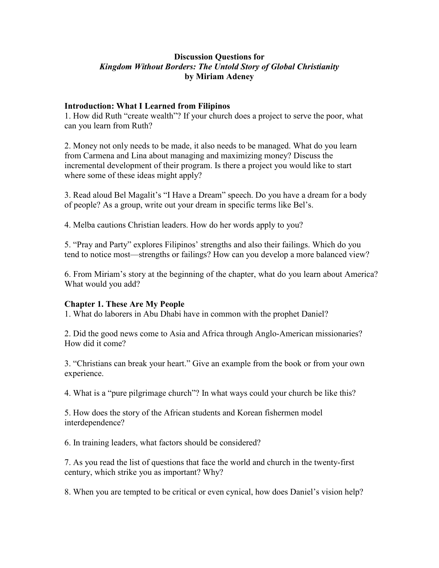# **Discussion Questions for**  *Kingdom Without Borders: The Untold Story of Global Christianity* **by Miriam Adeney**

### **Introduction: What I Learned from Filipinos**

1. How did Ruth "create wealth"? If your church does a project to serve the poor, what can you learn from Ruth?

2. Money not only needs to be made, it also needs to be managed. What do you learn from Carmena and Lina about managing and maximizing money? Discuss the incremental development of their program. Is there a project you would like to start where some of these ideas might apply?

3. Read aloud Bel Magalit's "I Have a Dream" speech. Do you have a dream for a body of people? As a group, write out your dream in specific terms like Bel's.

4. Melba cautions Christian leaders. How do her words apply to you?

5. "Pray and Party" explores Filipinos' strengths and also their failings. Which do you tend to notice most—strengths or failings? How can you develop a more balanced view?

6. From Miriam's story at the beginning of the chapter, what do you learn about America? What would you add?

# **Chapter 1. These Are My People**

1. What do laborers in Abu Dhabi have in common with the prophet Daniel?

2. Did the good news come to Asia and Africa through Anglo-American missionaries? How did it come?

3. "Christians can break your heart." Give an example from the book or from your own experience.

4. What is a "pure pilgrimage church"? In what ways could your church be like this?

5. How does the story of the African students and Korean fishermen model interdependence?

6. In training leaders, what factors should be considered?

7. As you read the list of questions that face the world and church in the twenty-first century, which strike you as important? Why?

8. When you are tempted to be critical or even cynical, how does Daniel's vision help?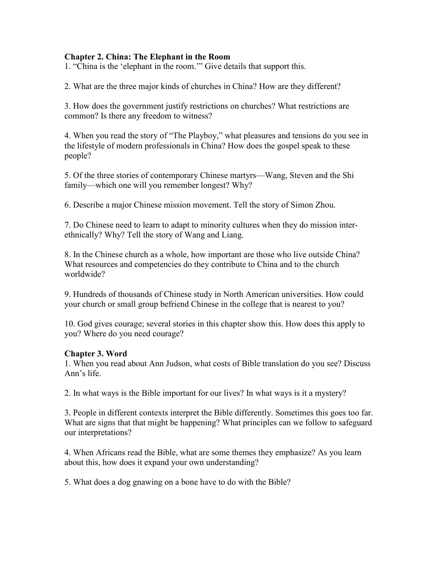## **Chapter 2. China: The Elephant in the Room**

1. "China is the 'elephant in the room.'" Give details that support this.

2. What are the three major kinds of churches in China? How are they different?

3. How does the government justify restrictions on churches? What restrictions are common? Is there any freedom to witness?

4. When you read the story of "The Playboy," what pleasures and tensions do you see in the lifestyle of modern professionals in China? How does the gospel speak to these people?

5. Of the three stories of contemporary Chinese martyrs—Wang, Steven and the Shi family—which one will you remember longest? Why?

6. Describe a major Chinese mission movement. Tell the story of Simon Zhou.

7. Do Chinese need to learn to adapt to minority cultures when they do mission interethnically? Why? Tell the story of Wang and Liang.

8. In the Chinese church as a whole, how important are those who live outside China? What resources and competencies do they contribute to China and to the church worldwide?

9. Hundreds of thousands of Chinese study in North American universities. How could your church or small group befriend Chinese in the college that is nearest to you?

10. God gives courage; several stories in this chapter show this. How does this apply to you? Where do you need courage?

### **Chapter 3. Word**

1. When you read about Ann Judson, what costs of Bible translation do you see? Discuss Ann's life.

2. In what ways is the Bible important for our lives? In what ways is it a mystery?

3. People in different contexts interpret the Bible differently. Sometimes this goes too far. What are signs that that might be happening? What principles can we follow to safeguard our interpretations?

4. When Africans read the Bible, what are some themes they emphasize? As you learn about this, how does it expand your own understanding?

5. What does a dog gnawing on a bone have to do with the Bible?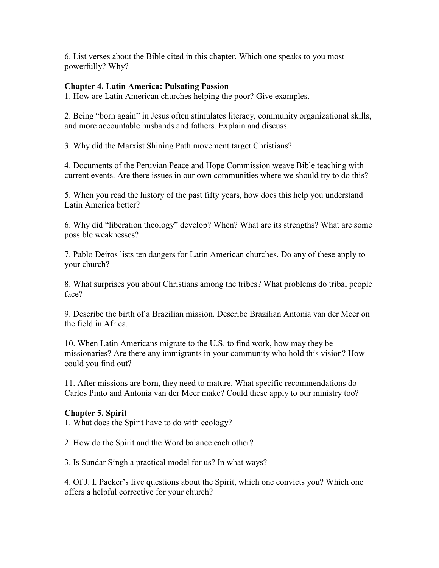6. List verses about the Bible cited in this chapter. Which one speaks to you most powerfully? Why?

## **Chapter 4. Latin America: Pulsating Passion**

1. How are Latin American churches helping the poor? Give examples.

2. Being "born again" in Jesus often stimulates literacy, community organizational skills, and more accountable husbands and fathers. Explain and discuss.

3. Why did the Marxist Shining Path movement target Christians?

4. Documents of the Peruvian Peace and Hope Commission weave Bible teaching with current events. Are there issues in our own communities where we should try to do this?

5. When you read the history of the past fifty years, how does this help you understand Latin America better?

6. Why did "liberation theology" develop? When? What are its strengths? What are some possible weaknesses?

7. Pablo Deiros lists ten dangers for Latin American churches. Do any of these apply to your church?

8. What surprises you about Christians among the tribes? What problems do tribal people face?

9. Describe the birth of a Brazilian mission. Describe Brazilian Antonia van der Meer on the field in Africa.

10. When Latin Americans migrate to the U.S. to find work, how may they be missionaries? Are there any immigrants in your community who hold this vision? How could you find out?

11. After missions are born, they need to mature. What specific recommendations do Carlos Pinto and Antonia van der Meer make? Could these apply to our ministry too?

# **Chapter 5. Spirit**

1. What does the Spirit have to do with ecology?

2. How do the Spirit and the Word balance each other?

3. Is Sundar Singh a practical model for us? In what ways?

4. Of J. I. Packer's five questions about the Spirit, which one convicts you? Which one offers a helpful corrective for your church?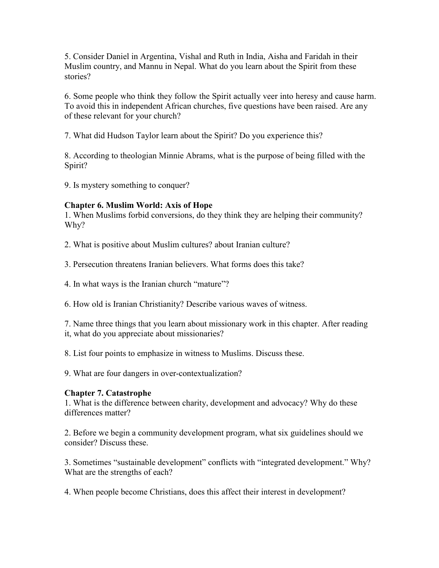5. Consider Daniel in Argentina, Vishal and Ruth in India, Aisha and Faridah in their Muslim country, and Mannu in Nepal. What do you learn about the Spirit from these stories?

6. Some people who think they follow the Spirit actually veer into heresy and cause harm. To avoid this in independent African churches, five questions have been raised. Are any of these relevant for your church?

7. What did Hudson Taylor learn about the Spirit? Do you experience this?

8. According to theologian Minnie Abrams, what is the purpose of being filled with the Spirit?

9. Is mystery something to conquer?

# **Chapter 6. Muslim World: Axis of Hope**

1. When Muslims forbid conversions, do they think they are helping their community? Why?

2. What is positive about Muslim cultures? about Iranian culture?

3. Persecution threatens Iranian believers. What forms does this take?

4. In what ways is the Iranian church "mature"?

6. How old is Iranian Christianity? Describe various waves of witness.

7. Name three things that you learn about missionary work in this chapter. After reading it, what do you appreciate about missionaries?

8. List four points to emphasize in witness to Muslims. Discuss these.

9. What are four dangers in over-contextualization?

# **Chapter 7. Catastrophe**

1. What is the difference between charity, development and advocacy? Why do these differences matter?

2. Before we begin a community development program, what six guidelines should we consider? Discuss these.

3. Sometimes "sustainable development" conflicts with "integrated development." Why? What are the strengths of each?

4. When people become Christians, does this affect their interest in development?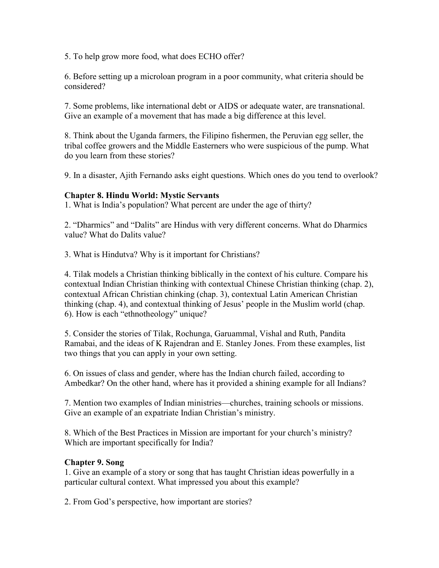5. To help grow more food, what does ECHO offer?

6. Before setting up a microloan program in a poor community, what criteria should be considered?

7. Some problems, like international debt or AIDS or adequate water, are transnational. Give an example of a movement that has made a big difference at this level.

8. Think about the Uganda farmers, the Filipino fishermen, the Peruvian egg seller, the tribal coffee growers and the Middle Easterners who were suspicious of the pump. What do you learn from these stories?

9. In a disaster, Ajith Fernando asks eight questions. Which ones do you tend to overlook?

## **Chapter 8. Hindu World: Mystic Servants**

1. What is India's population? What percent are under the age of thirty?

2. "Dharmics" and "Dalits" are Hindus with very different concerns. What do Dharmics value? What do Dalits value?

3. What is Hindutva? Why is it important for Christians?

4. Tilak models a Christian thinking biblically in the context of his culture. Compare his contextual Indian Christian thinking with contextual Chinese Christian thinking (chap. 2), contextual African Christian chinking (chap. 3), contextual Latin American Christian thinking (chap. 4), and contextual thinking of Jesus' people in the Muslim world (chap. 6). How is each "ethnotheology" unique?

5. Consider the stories of Tilak, Rochunga, Garuammal, Vishal and Ruth, Pandita Ramabai, and the ideas of K Rajendran and E. Stanley Jones. From these examples, list two things that you can apply in your own setting.

6. On issues of class and gender, where has the Indian church failed, according to Ambedkar? On the other hand, where has it provided a shining example for all Indians?

7. Mention two examples of Indian ministries—churches, training schools or missions. Give an example of an expatriate Indian Christian's ministry.

8. Which of the Best Practices in Mission are important for your church's ministry? Which are important specifically for India?

### **Chapter 9. Song**

1. Give an example of a story or song that has taught Christian ideas powerfully in a particular cultural context. What impressed you about this example?

2. From God's perspective, how important are stories?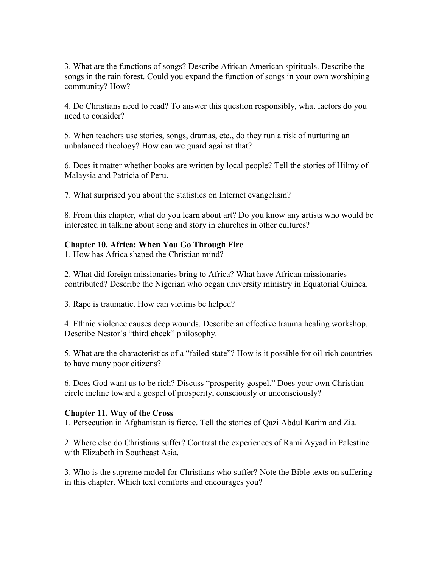3. What are the functions of songs? Describe African American spirituals. Describe the songs in the rain forest. Could you expand the function of songs in your own worshiping community? How?

4. Do Christians need to read? To answer this question responsibly, what factors do you need to consider?

5. When teachers use stories, songs, dramas, etc., do they run a risk of nurturing an unbalanced theology? How can we guard against that?

6. Does it matter whether books are written by local people? Tell the stories of Hilmy of Malaysia and Patricia of Peru.

7. What surprised you about the statistics on Internet evangelism?

8. From this chapter, what do you learn about art? Do you know any artists who would be interested in talking about song and story in churches in other cultures?

## **Chapter 10. Africa: When You Go Through Fire**

1. How has Africa shaped the Christian mind?

2. What did foreign missionaries bring to Africa? What have African missionaries contributed? Describe the Nigerian who began university ministry in Equatorial Guinea.

3. Rape is traumatic. How can victims be helped?

4. Ethnic violence causes deep wounds. Describe an effective trauma healing workshop. Describe Nestor's "third cheek" philosophy.

5. What are the characteristics of a "failed state"? How is it possible for oil-rich countries to have many poor citizens?

6. Does God want us to be rich? Discuss "prosperity gospel." Does your own Christian circle incline toward a gospel of prosperity, consciously or unconsciously?

### **Chapter 11. Way of the Cross**

1. Persecution in Afghanistan is fierce. Tell the stories of Qazi Abdul Karim and Zia.

2. Where else do Christians suffer? Contrast the experiences of Rami Ayyad in Palestine with Elizabeth in Southeast Asia.

3. Who is the supreme model for Christians who suffer? Note the Bible texts on suffering in this chapter. Which text comforts and encourages you?